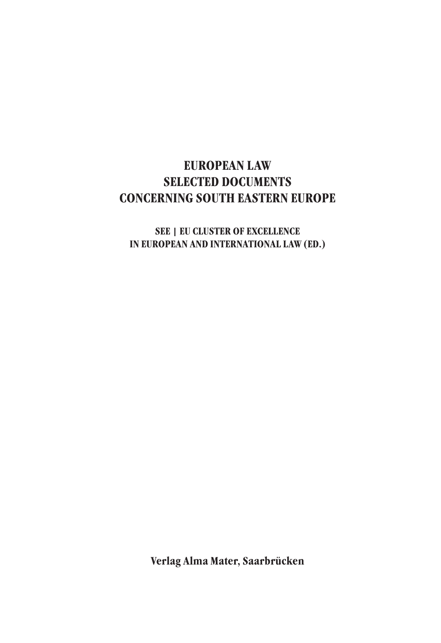## **EUROPEAN LAW SELECTED DOCUMENTS CONCERNING SOUTH EASTERN EUROPE**

## **SEE | EU CLUSTER OF EXCELLENCE IN EUROPEAN AND INTERNATIONAL LAW (ED.)**

**Verlag Alma Mater, Saarbrücken**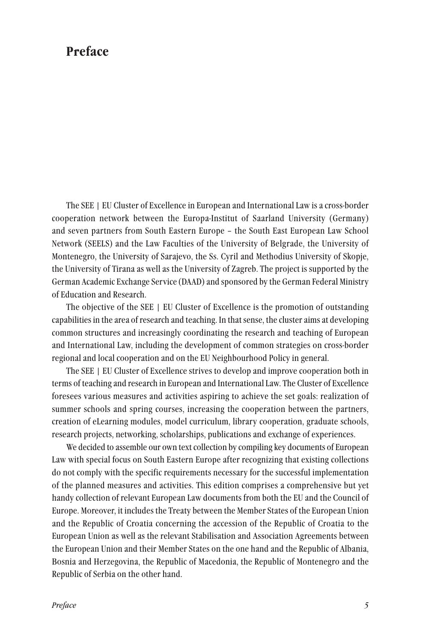## **Preface**

The SEE | EU Cluster of Excellence in European and International Law is a cross-border cooperation network between the Europa-Institut of Saarland University (Germany) and seven partners from South Eastern Europe – the South East European Law School Network (SEELS) and the Law Faculties of the University of Belgrade, the University of Montenegro, the University of Sarajevo, the Ss. Cyril and Methodius University of Skopje, the University of Tirana as well as the University of Zagreb. The project is supported by the German Academic Exchange Service (DAAD) and sponsored by the German Federal Ministry of Education and Research.

The objective of the SEE | EU Cluster of Excellence is the promotion of outstanding capabilities in the area of research and teaching. In that sense, the cluster aims at developing common structures and increasingly coordinating the research and teaching of European and International Law, including the development of common strategies on cross-border regional and local cooperation and on the EU Neighbourhood Policy in general.

The SEE | EU Cluster of Excellence strives to develop and improve cooperation both in terms of teaching and research in European and International Law. The Cluster of Excellence foresees various measures and activities aspiring to achieve the set goals: realization of summer schools and spring courses, increasing the cooperation between the partners, creation of eLearning modules, model curriculum, library cooperation, graduate schools, research projects, networking, scholarships, publications and exchange of experiences.

We decided to assemble our own text collection by compiling key documents of European Law with special focus on South Eastern Europe after recognizing that existing collections do not comply with the specific requirements necessary for the successful implementation of the planned measures and activities. This edition comprises a comprehensive but yet handy collection of relevant European Law documents from both the EU and the Council of Europe. Moreover, it includes the Treaty between the Member States of the European Union and the Republic of Croatia concerning the accession of the Republic of Croatia to the European Union as well as the relevant Stabilisation and Association Agreements between the European Union and their Member States on the one hand and the Republic of Albania, Bosnia and Herzegovina, the Republic of Macedonia, the Republic of Montenegro and the Republic of Serbia on the other hand.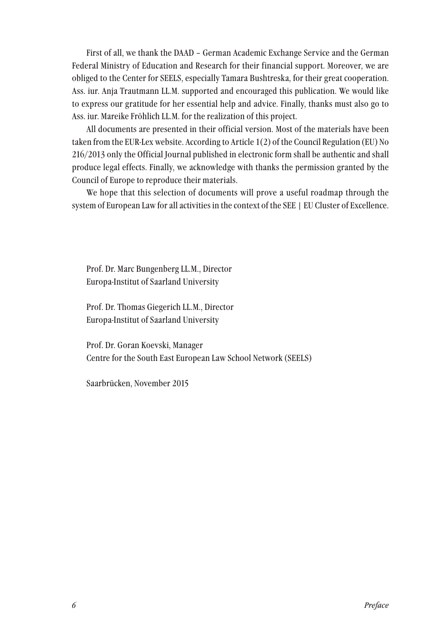First of all, we thank the DAAD – German Academic Exchange Service and the German Federal Ministry of Education and Research for their financial support. Moreover, we are obliged to the Center for SEELS, especially Tamara Bushtreska, for their great cooperation. Ass. iur. Anja Trautmann LL.M. supported and encouraged this publication. We would like to express our gratitude for her essential help and advice. Finally, thanks must also go to Ass. iur. Mareike Fröhlich LL.M. for the realization of this project.

All documents are presented in their official version. Most of the materials have been taken from the EUR-Lex website. According to Article 1(2) of the Council Regulation (EU) No 216/2013 only the Official Journal published in electronic form shall be authentic and shall produce legal effects. Finally, we acknowledge with thanks the permission granted by the Council of Europe to reproduce their materials.

We hope that this selection of documents will prove a useful roadmap through the system of European Law for all activities in the context of the SEE | EU Cluster of Excellence.

Prof. Dr. Marc Bungenberg LL.M., Director Europa-Institut of Saarland University

Prof. Dr. Thomas Giegerich LL.M., Director Europa-Institut of Saarland University

Prof. Dr. Goran Koevski, Manager Centre for the South East European Law School Network (SEELS)

Saarbrücken, November 2015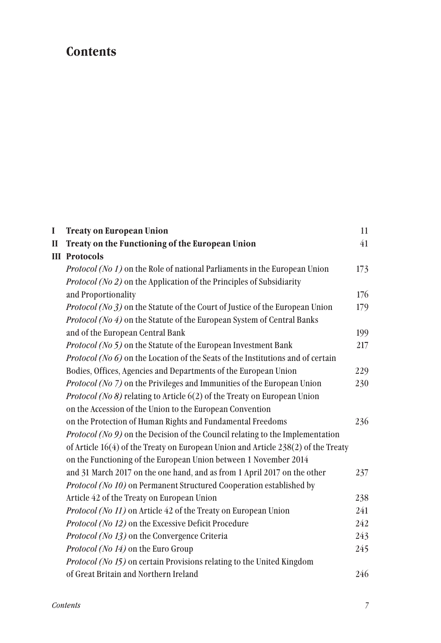## **Contents**

| I | <b>Treaty on European Union</b>                                                     | 11  |
|---|-------------------------------------------------------------------------------------|-----|
| П | Treaty on the Functioning of the European Union                                     | 41  |
|   | <b>III</b> Protocols                                                                |     |
|   | <i>Protocol (No 1)</i> on the Role of national Parliaments in the European Union    | 173 |
|   | Protocol (No 2) on the Application of the Principles of Subsidiarity                |     |
|   | and Proportionality                                                                 | 176 |
|   | <i>Protocol (No 3)</i> on the Statute of the Court of Justice of the European Union | 179 |
|   | Protocol (No 4) on the Statute of the European System of Central Banks              |     |
|   | and of the European Central Bank                                                    | 199 |
|   | <i>Protocol (No 5)</i> on the Statute of the European Investment Bank               | 217 |
|   | Protocol (No $6$ ) on the Location of the Seats of the Institutions and of certain  |     |
|   | Bodies, Offices, Agencies and Departments of the European Union                     | 229 |
|   | Protocol (No 7) on the Privileges and Immunities of the European Union              | 230 |
|   | <i>Protocol (No 8)</i> relating to Article $6(2)$ of the Treaty on European Union   |     |
|   | on the Accession of the Union to the European Convention                            |     |
|   | on the Protection of Human Rights and Fundamental Freedoms                          | 236 |
|   | Protocol (No 9) on the Decision of the Council relating to the Implementation       |     |
|   | of Article 16(4) of the Treaty on European Union and Article 238(2) of the Treaty   |     |
|   | on the Functioning of the European Union between 1 November 2014                    |     |
|   | and 31 March 2017 on the one hand, and as from 1 April 2017 on the other            | 237 |
|   | Protocol (No 10) on Permanent Structured Cooperation established by                 |     |
|   | Article 42 of the Treaty on European Union                                          | 238 |
|   | Protocol (No 11) on Article 42 of the Treaty on European Union                      | 241 |
|   | Protocol (No 12) on the Excessive Deficit Procedure                                 | 242 |
|   | Protocol (No 13) on the Convergence Criteria                                        | 243 |
|   | Protocol (No 14) on the Euro Group                                                  | 245 |
|   | Protocol (No 15) on certain Provisions relating to the United Kingdom               |     |
|   | of Great Britain and Northern Ireland                                               | 246 |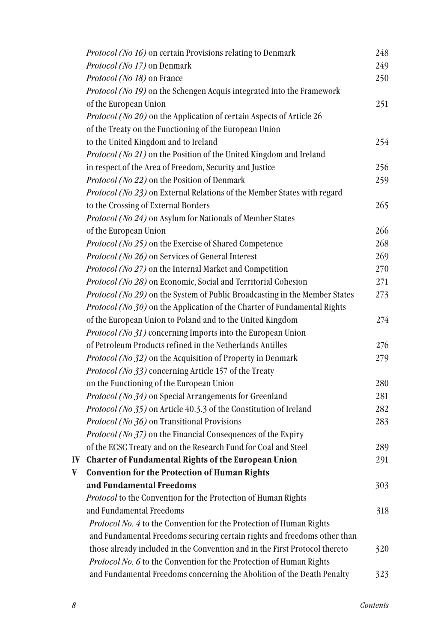|   | Protocol (No 16) on certain Provisions relating to Denmark                 | 248 |
|---|----------------------------------------------------------------------------|-----|
|   | Protocol (No 17) on Denmark                                                | 249 |
|   | Protocol (No 18) on France                                                 | 250 |
|   | Protocol (No 19) on the Schengen Acquis integrated into the Framework      |     |
|   | of the European Union                                                      | 251 |
|   | Protocol (No 20) on the Application of certain Aspects of Article 26       |     |
|   | of the Treaty on the Functioning of the European Union                     |     |
|   | to the United Kingdom and to Ireland                                       | 254 |
|   | Protocol (No 21) on the Position of the United Kingdom and Ireland         |     |
|   | in respect of the Area of Freedom, Security and Justice                    | 256 |
|   | Protocol (No 22) on the Position of Denmark                                | 259 |
|   | Protocol (No 23) on External Relations of the Member States with regard    |     |
|   | to the Crossing of External Borders                                        | 265 |
|   | Protocol (No 24) on Asylum for Nationals of Member States                  |     |
|   | of the European Union                                                      | 266 |
|   | Protocol (No 25) on the Exercise of Shared Competence                      | 268 |
|   | Protocol (No 26) on Services of General Interest                           | 269 |
|   | Protocol (No 27) on the Internal Market and Competition                    | 270 |
|   | Protocol (No 28) on Economic, Social and Territorial Cohesion              | 271 |
|   | Protocol (No 29) on the System of Public Broadcasting in the Member States | 273 |
|   | Protocol (No 30) on the Application of the Charter of Fundamental Rights   |     |
|   | of the European Union to Poland and to the United Kingdom                  | 274 |
|   | Protocol (No 31) concerning Imports into the European Union                |     |
|   | of Petroleum Products refined in the Netherlands Antilles                  | 276 |
|   | Protocol (No 32) on the Acquisition of Property in Denmark                 | 279 |
|   | Protocol (No 33) concerning Article 157 of the Treaty                      |     |
|   | on the Functioning of the European Union                                   | 280 |
|   | Protocol (No 34) on Special Arrangements for Greenland                     | 281 |
|   | Protocol (No 35) on Article 40.3.3 of the Constitution of Ireland          | 282 |
|   | Protocol (No 36) on Transitional Provisions                                | 283 |
|   | Protocol (No 37) on the Financial Consequences of the Expiry               |     |
|   | of the ECSC Treaty and on the Research Fund for Coal and Steel             | 289 |
|   | IV Charter of Fundamental Rights of the European Union                     | 291 |
| V | <b>Convention for the Protection of Human Rights</b>                       |     |
|   | and Fundamental Freedoms                                                   | 303 |
|   | Protocol to the Convention for the Protection of Human Rights              |     |
|   | and Fundamental Freedoms                                                   | 318 |
|   | Protocol No. 4 to the Convention for the Protection of Human Rights        |     |
|   | and Fundamental Freedoms securing certain rights and freedoms other than   |     |
|   | those already included in the Convention and in the First Protocol thereto | 320 |
|   | Protocol No. 6 to the Convention for the Protection of Human Rights        |     |
|   | and Fundamental Freedoms concerning the Abolition of the Death Penalty     | 323 |